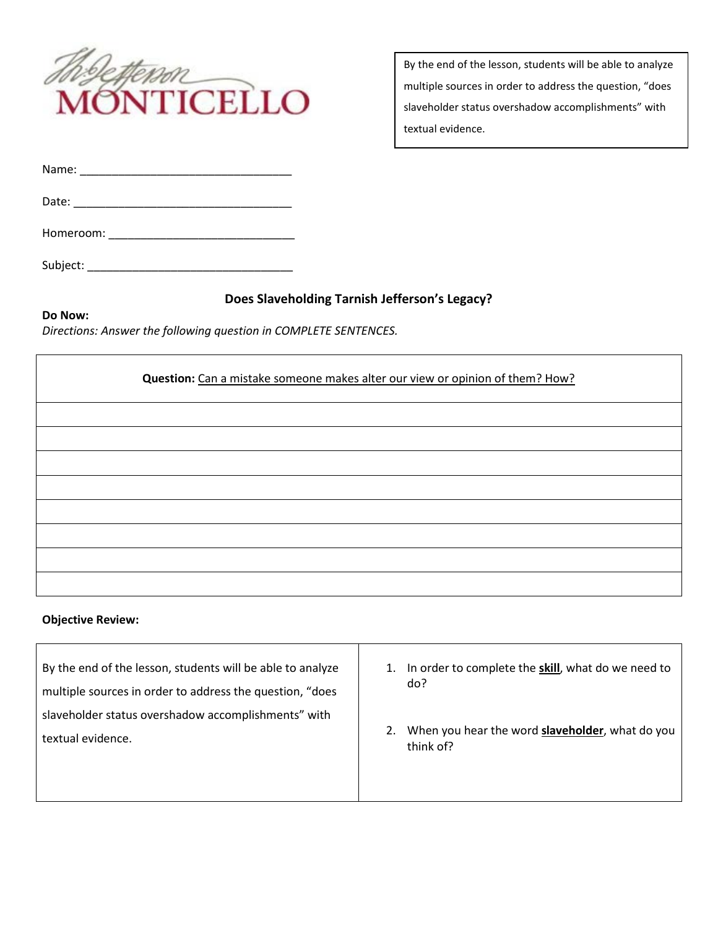

By the end of the lesson, students will be able to analyze multiple sources in order to address the question, "does slaveholder status overshadow accomplishments" with textual evidence.

| Name:     |  |
|-----------|--|
| Date:     |  |
| Homeroom: |  |

Subject: \_\_\_\_\_\_\_\_\_\_\_\_\_\_\_\_\_\_\_\_\_\_\_\_\_\_\_\_\_\_\_\_

# **Does Slaveholding Tarnish Jefferson's Legacy?**

## **Do Now:**

 $\overline{\phantom{a}}$ 

*Directions: Answer the following question in COMPLETE SENTENCES.* 

| Question: Can a mistake someone makes alter our view or opinion of them? How? |  |  |  |
|-------------------------------------------------------------------------------|--|--|--|
|                                                                               |  |  |  |
|                                                                               |  |  |  |
|                                                                               |  |  |  |
|                                                                               |  |  |  |
|                                                                               |  |  |  |
|                                                                               |  |  |  |
|                                                                               |  |  |  |
|                                                                               |  |  |  |

## **Objective Review:**

| By the end of the lesson, students will be able to analyze<br>multiple sources in order to address the question, "does"<br>slaveholder status overshadow accomplishments" with | In order to complete the skill, what do we need to<br>do?            |
|--------------------------------------------------------------------------------------------------------------------------------------------------------------------------------|----------------------------------------------------------------------|
| textual evidence.                                                                                                                                                              | When you hear the word <b>slaveholder</b> , what do you<br>think of? |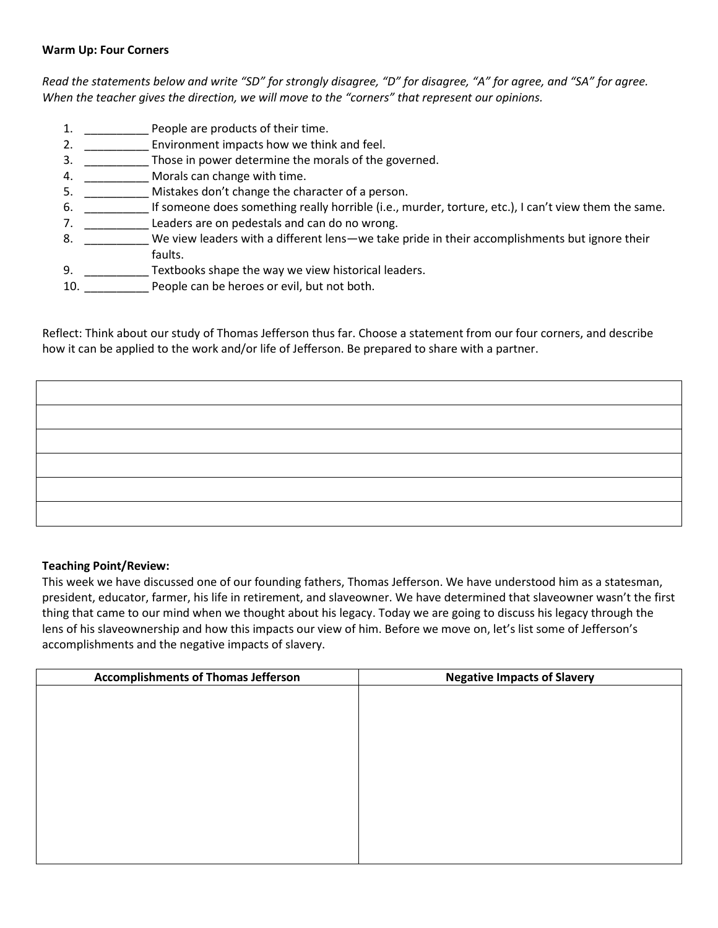## **Warm Up: Four Corners**

*Read the statements below and write "SD" for strongly disagree, "D" for disagree, "A" for agree, and "SA" for agree. When the teacher gives the direction, we will move to the "corners" that represent our opinions.* 

- 1. \_\_\_\_\_\_\_\_\_\_ People are products of their time.
- 2. \_\_\_\_\_\_\_\_\_\_\_\_\_\_ Environment impacts how we think and feel.
- 3. \_\_\_\_\_\_\_\_\_\_\_\_\_ Those in power determine the morals of the governed.
- 4. \_\_\_\_\_\_\_\_\_\_\_\_\_ Morals can change with time.
- 5. \_\_\_\_\_\_\_\_\_\_ Mistakes don't change the character of a person.
- 6. \_\_\_\_\_\_\_\_\_\_ If someone does something really horrible (i.e., murder, torture, etc.), I can't view them the same.
- 7. \_\_\_\_\_\_\_\_\_\_\_\_\_ Leaders are on pedestals and can do no wrong.
- 8. \_\_\_\_\_\_\_\_\_\_\_ We view leaders with a different lens—we take pride in their accomplishments but ignore their faults.
- 9. \_\_\_\_\_\_\_\_\_\_\_ Textbooks shape the way we view historical leaders.
- 10. People can be heroes or evil, but not both.

Reflect: Think about our study of Thomas Jefferson thus far. Choose a statement from our four corners, and describe how it can be applied to the work and/or life of Jefferson. Be prepared to share with a partner.

## **Teaching Point/Review:**

This week we have discussed one of our founding fathers, Thomas Jefferson. We have understood him as a statesman, president, educator, farmer, his life in retirement, and slaveowner. We have determined that slaveowner wasn't the first thing that came to our mind when we thought about his legacy. Today we are going to discuss his legacy through the lens of his slaveownership and how this impacts our view of him. Before we move on, let's list some of Jefferson's accomplishments and the negative impacts of slavery.

| <b>Accomplishments of Thomas Jefferson</b> | <b>Negative Impacts of Slavery</b> |  |
|--------------------------------------------|------------------------------------|--|
|                                            |                                    |  |
|                                            |                                    |  |
|                                            |                                    |  |
|                                            |                                    |  |
|                                            |                                    |  |
|                                            |                                    |  |
|                                            |                                    |  |
|                                            |                                    |  |
|                                            |                                    |  |
|                                            |                                    |  |
|                                            |                                    |  |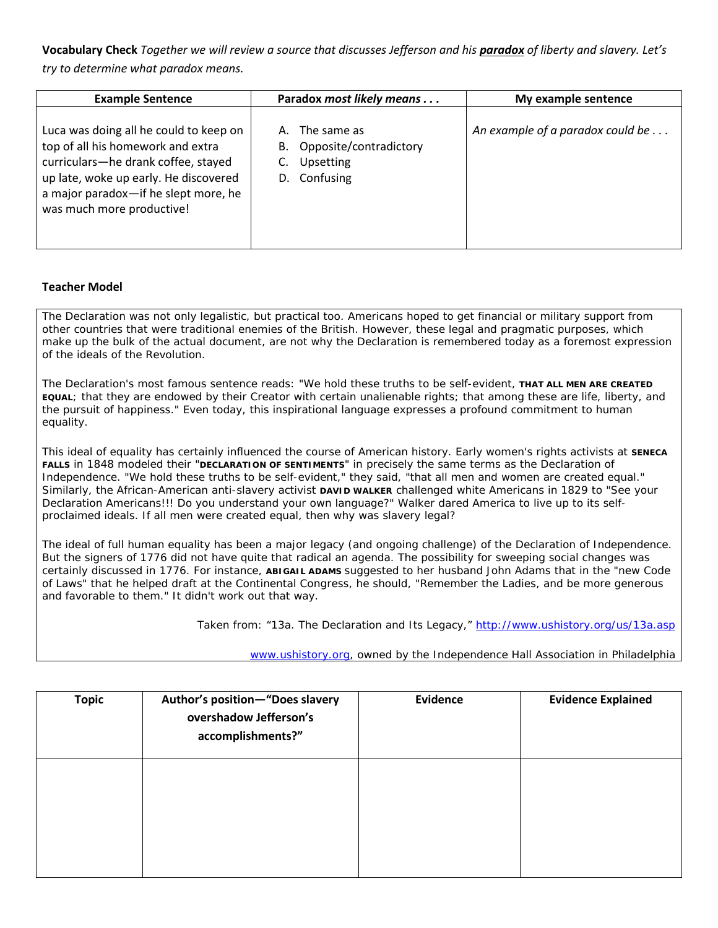**Vocabulary Check** *Together we will review a source that discusses Jefferson and his paradox of liberty and slavery. Let's try to determine what paradox means.* 

| <b>Example Sentence</b>                                                                                                                                                                                                          | Paradox most likely means                                                                | My example sentence              |
|----------------------------------------------------------------------------------------------------------------------------------------------------------------------------------------------------------------------------------|------------------------------------------------------------------------------------------|----------------------------------|
| Luca was doing all he could to keep on<br>top of all his homework and extra<br>curriculars-he drank coffee, stayed<br>up late, woke up early. He discovered<br>a major paradox-if he slept more, he<br>was much more productive! | The same as<br>А.<br>Opposite/contradictory<br>В.<br><b>Upsetting</b><br>Confusing<br>D. | An example of a paradox could be |

#### **Teacher Model**

The Declaration was not only legalistic, but practical too. Americans hoped to get financial or military support from other countries that were traditional enemies of the British. However, these legal and pragmatic purposes, which make up the bulk of the actual document, are not why the Declaration is remembered today as a foremost expression of the ideals of the Revolution.

The Declaration's most famous sentence reads: "We hold these truths to be self-evident, **THAT ALL MEN ARE CREATED EQUAL**; that they are endowed by their Creator with certain unalienable rights; that among these are life, liberty, and the pursuit of happiness." Even today, this inspirational language expresses a profound commitment to human equality.

This ideal of equality has certainly influenced the course of American history. Early women's rights activists at **SENECA FALLS** in 1848 modeled their "**DECLARATION OF SENTIMENTS**" in precisely the same terms as the Declaration of Independence. "We hold these truths to be self-evident," they said, "that all men and women are created equal." Similarly, the African-American anti-slavery activist **DAVID WALKER** challenged white Americans in 1829 to "See your Declaration Americans!!! Do you understand your own language?" Walker dared America to live up to its selfproclaimed ideals. If all men were created equal, then why was slavery legal?

The ideal of full human equality has been a major legacy (and ongoing challenge) of the Declaration of Independence. But the signers of 1776 did not have quite that radical an agenda. The possibility for sweeping social changes was certainly discussed in 1776. For instance, **ABIGAIL ADAMS** suggested to her husband John Adams that in the "new Code of Laws" that he helped draft at the Continental Congress, he should, "Remember the Ladies, and be more generous and favorable to them." It didn't work out that way.

Taken from: "13a. The Declaration and Its Legacy,"<http://www.ushistory.org/us/13a.asp>

[www.ushistory.org,](http://www.ushistory.org/) owned by the Independence Hall Association in Philadelphia

| <b>Topic</b> | Author's position-"Does slavery<br>overshadow Jefferson's<br>accomplishments?" | <b>Evidence</b> | <b>Evidence Explained</b> |
|--------------|--------------------------------------------------------------------------------|-----------------|---------------------------|
|              |                                                                                |                 |                           |
|              |                                                                                |                 |                           |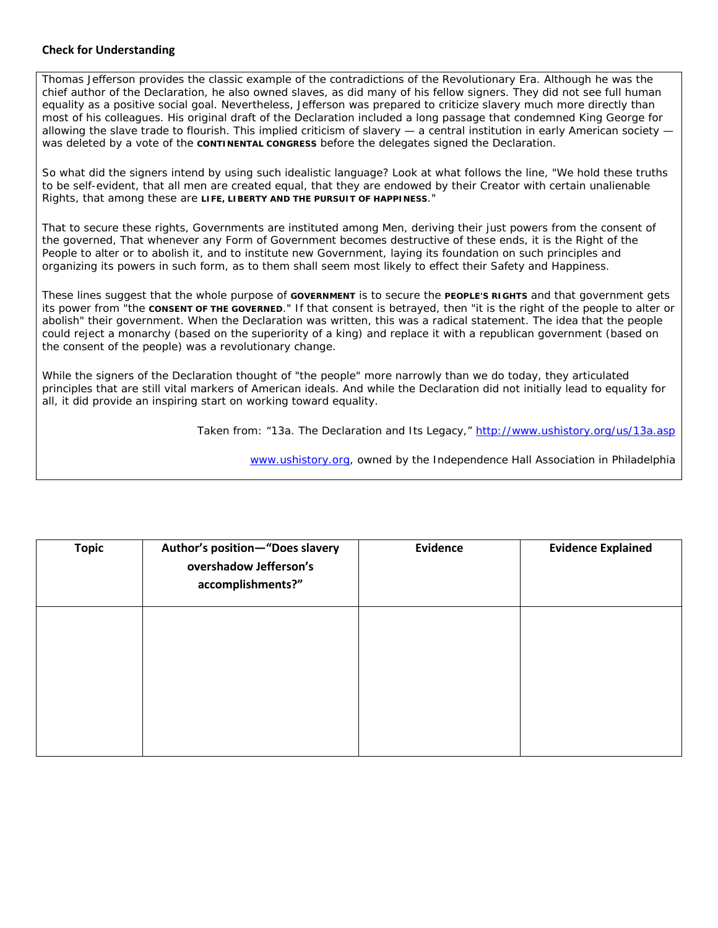#### **Check for Understanding**

Thomas Jefferson provides the classic example of the contradictions of the Revolutionary Era. Although he was the chief author of the Declaration, he also owned slaves, as did many of his fellow signers. They did not see full human equality as a positive social goal. Nevertheless, Jefferson was prepared to criticize slavery much more directly than most of his colleagues. His original draft of the Declaration included a long passage that condemned King George for allowing the slave trade to flourish. This implied criticism of slavery - a central institution in early American society was deleted by a vote of the **CONTINENTAL CONGRESS** before the delegates signed the Declaration.

So what did the signers intend by using such idealistic language? Look at what follows the line, "We hold these truths to be self-evident, that all men are created equal, that they are endowed by their Creator with certain unalienable Rights, that among these are **LIFE, LIBERTY AND THE PURSUIT OF HAPPINESS**."

That to secure these rights, Governments are instituted among Men, deriving their just powers from the consent of the governed, That whenever any Form of Government becomes destructive of these ends, it is the Right of the People to alter or to abolish it, and to institute new Government, laying its foundation on such principles and organizing its powers in such form, as to them shall seem most likely to effect their Safety and Happiness.

These lines suggest that the whole purpose of **GOVERNMENT** is to secure the *PEOPLE'S RIGHTS* and that government gets its power from "the **CONSENT OF THE GOVERNED**." If that consent is betrayed, then "it is the right of the people to alter or abolish" their government. When the Declaration was written, this was a radical statement. The idea that the people could reject a monarchy (based on the superiority of a king) and replace it with a republican government (based on the consent of the people) was a revolutionary change.

While the signers of the Declaration thought of "the people" more narrowly than we do today, they articulated principles that are still vital markers of American ideals. And while the Declaration did not initially lead to equality for all, it did provide an inspiring start on working toward equality.

Taken from: "13a. The Declaration and Its Legacy,"<http://www.ushistory.org/us/13a.asp>

[www.ushistory.org,](http://www.ushistory.org/) owned by the Independence Hall Association in Philadelphia

| <b>Topic</b> | Author's position-"Does slavery<br>overshadow Jefferson's<br>accomplishments?" | <b>Evidence</b> | <b>Evidence Explained</b> |
|--------------|--------------------------------------------------------------------------------|-----------------|---------------------------|
|              |                                                                                |                 |                           |
|              |                                                                                |                 |                           |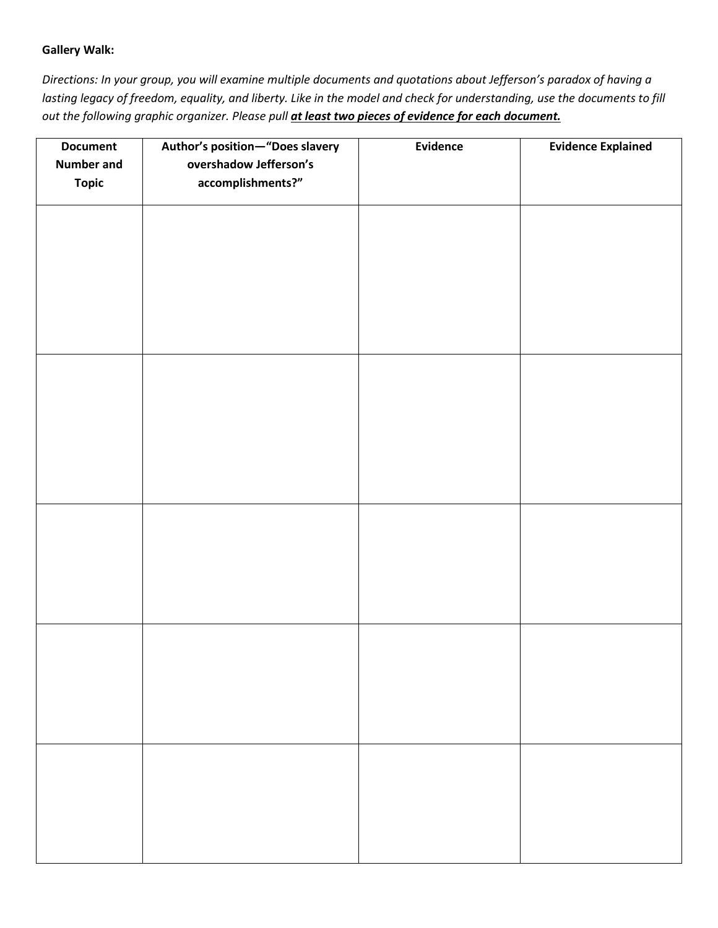## **Gallery Walk:**

*Directions: In your group, you will examine multiple documents and quotations about Jefferson's paradox of having a lasting legacy of freedom, equality, and liberty. Like in the model and check for understanding, use the documents to fill out the following graphic organizer. Please pull at least two pieces of evidence for each document.* 

| <b>Document</b>   | Author's position-"Does slavery | Evidence | <b>Evidence Explained</b> |
|-------------------|---------------------------------|----------|---------------------------|
| <b>Number and</b> | overshadow Jefferson's          |          |                           |
| <b>Topic</b>      | accomplishments?"               |          |                           |
|                   |                                 |          |                           |
|                   |                                 |          |                           |
|                   |                                 |          |                           |
|                   |                                 |          |                           |
|                   |                                 |          |                           |
|                   |                                 |          |                           |
|                   |                                 |          |                           |
|                   |                                 |          |                           |
|                   |                                 |          |                           |
|                   |                                 |          |                           |
|                   |                                 |          |                           |
|                   |                                 |          |                           |
|                   |                                 |          |                           |
|                   |                                 |          |                           |
|                   |                                 |          |                           |
|                   |                                 |          |                           |
|                   |                                 |          |                           |
|                   |                                 |          |                           |
|                   |                                 |          |                           |
|                   |                                 |          |                           |
|                   |                                 |          |                           |
|                   |                                 |          |                           |
|                   |                                 |          |                           |
|                   |                                 |          |                           |
|                   |                                 |          |                           |
|                   |                                 |          |                           |
|                   |                                 |          |                           |
|                   |                                 |          |                           |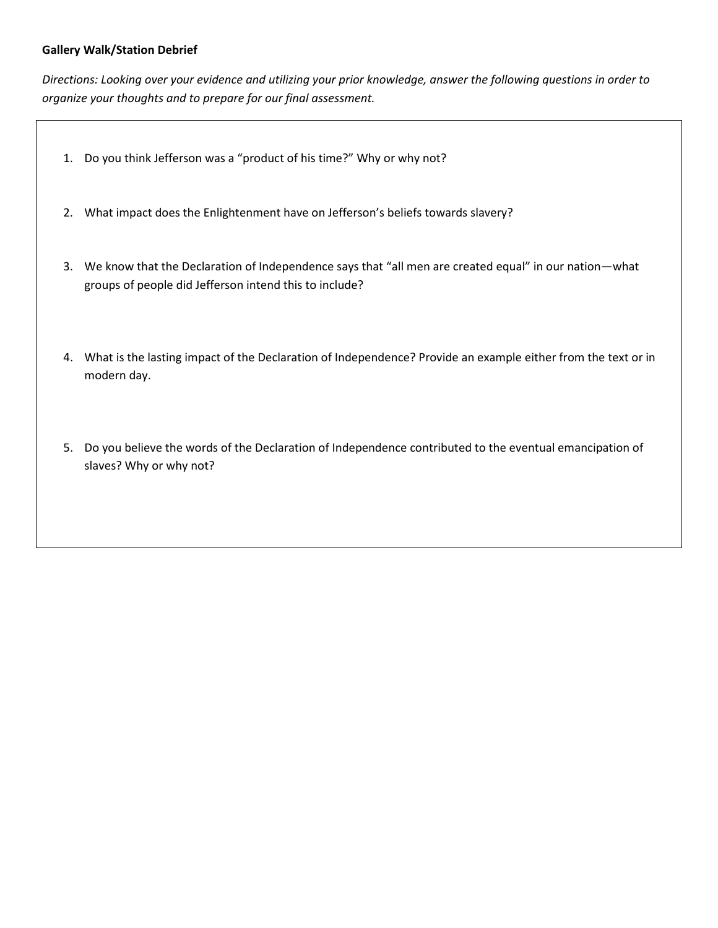## **Gallery Walk/Station Debrief**

*Directions: Looking over your evidence and utilizing your prior knowledge, answer the following questions in order to organize your thoughts and to prepare for our final assessment.* 

- 1. Do you think Jefferson was a "product of his time?" Why or why not?
- 2. What impact does the Enlightenment have on Jefferson's beliefs towards slavery?
- 3. We know that the Declaration of Independence says that "all men are created equal" in our nation—what groups of people did Jefferson intend this to include?
- 4. What is the lasting impact of the Declaration of Independence? Provide an example either from the text or in modern day.
- 5. Do you believe the words of the Declaration of Independence contributed to the eventual emancipation of slaves? Why or why not?